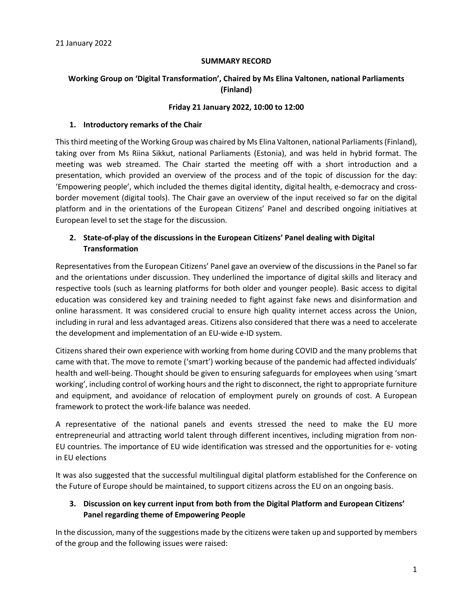### **SUMMARY RECORD**

# **Working Group on 'Digital Transformation', Chaired by Ms Elina Valtonen, national Parliaments (Finland)**

#### **Friday 21 January 2022, 10:00 to 12:00**

### **1. Introductory remarks of the Chair**

This third meeting of the Working Group was chaired by Ms Elina Valtonen, national Parliaments (Finland), taking over from Ms Riina Sikkut, national Parliaments (Estonia), and was held in hybrid format. The meeting was web streamed. The Chair started the meeting off with a short introduction and a presentation, which provided an overview of the process and of the topic of discussion for the day: 'Empowering people', which included the themes digital identity, digital health, e-democracy and crossborder movement (digital tools). The Chair gave an overview of the input received so far on the digital platform and in the orientations of the European Citizens' Panel and described ongoing initiatives at European level to set the stage for the discussion.

# **2. State-of-play of the discussions in the European Citizens' Panel dealing with Digital Transformation**

Representatives from the European Citizens' Panel gave an overview of the discussions in the Panel so far and the orientations under discussion. They underlined the importance of digital skills and literacy and respective tools (such as learning platforms for both older and younger people). Basic access to digital education was considered key and training needed to fight against fake news and disinformation and online harassment. It was considered crucial to ensure high quality internet access across the Union, including in rural and less advantaged areas. Citizens also considered that there was a need to accelerate the development and implementation of an EU-wide e-ID system.

Citizens shared their own experience with working from home during COVID and the many problems that came with that. The move to remote ('smart') working because of the pandemic had affected individuals' health and well-being. Thought should be given to ensuring safeguards for employees when using 'smart working', including control of working hours and the right to disconnect, the right to appropriate furniture and equipment, and avoidance of relocation of employment purely on grounds of cost. A European framework to protect the work-life balance was needed.

A representative of the national panels and events stressed the need to make the EU more entrepreneurial and attracting world talent through different incentives, including migration from non-EU countries. The importance of EU wide identification was stressed and the opportunities for e- voting in EU elections

It was also suggested that the successful multilingual digital platform established for the Conference on the Future of Europe should be maintained, to support citizens across the EU on an ongoing basis.

## **3. Discussion on key current input from both from the Digital Platform and European Citizens' Panel regarding theme of Empowering People**

In the discussion, many of the suggestions made by the citizens were taken up and supported by members of the group and the following issues were raised: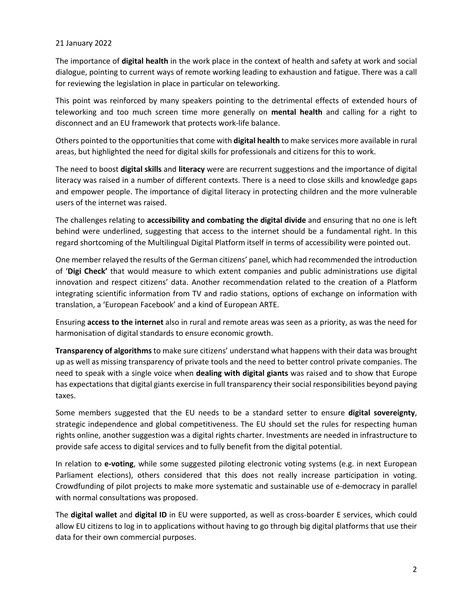### 21 January 2022

The importance of **digital health** in the work place in the context of health and safety at work and social dialogue, pointing to current ways of remote working leading to exhaustion and fatigue. There was a call for reviewing the legislation in place in particular on teleworking.

This point was reinforced by many speakers pointing to the detrimental effects of extended hours of teleworking and too much screen time more generally on **mental health** and calling for a right to disconnect and an EU framework that protects work-life balance.

Others pointed to the opportunities that come with **digital health** to make services more available in rural areas, but highlighted the need for digital skills for professionals and citizens for this to work.

The need to boost **digital skills** and **literacy** were are recurrent suggestions and the importance of digital literacy was raised in a number of different contexts. There is a need to close skills and knowledge gaps and empower people. The importance of digital literacy in protecting children and the more vulnerable users of the internet was raised.

The challenges relating to **accessibility and combating the digital divide** and ensuring that no one is left behind were underlined, suggesting that access to the internet should be a fundamental right. In this regard shortcoming of the Multilingual Digital Platform itself in terms of accessibility were pointed out.

One member relayed the results of the German citizens' panel, which had recommended the introduction of '**Digi Check'** that would measure to which extent companies and public administrations use digital innovation and respect citizens' data. Another recommendation related to the creation of a Platform integrating scientific information from TV and radio stations, options of exchange on information with translation, a 'European Facebook' and a kind of European ARTE.

Ensuring **access to the internet** also in rural and remote areas was seen as a priority, as was the need for harmonisation of digital standards to ensure economic growth.

**Transparency of algorithms** to make sure citizens' understand what happens with their data was brought up as well as missing transparency of private tools and the need to better control private companies. The need to speak with a single voice when **dealing with digital giants** was raised and to show that Europe has expectations that digital giants exercise in full transparency their social responsibilities beyond paying taxes.

Some members suggested that the EU needs to be a standard setter to ensure **digital sovereignty**, strategic independence and global competitiveness. The EU should set the rules for respecting human rights online, another suggestion was a digital rights charter. Investments are needed in infrastructure to provide safe access to digital services and to fully benefit from the digital potential.

In relation to **e-voting**, while some suggested piloting electronic voting systems (e.g. in next European Parliament elections), others considered that this does not really increase participation in voting. Crowdfunding of pilot projects to make more systematic and sustainable use of e-democracy in parallel with normal consultations was proposed.

The **digital wallet** and **digital ID** in EU were supported, as well as cross-boarder E services, which could allow EU citizens to log in to applications without having to go through big digital platforms that use their data for their own commercial purposes.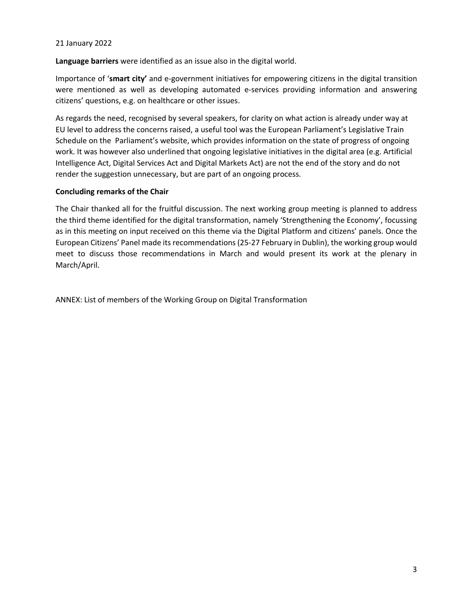### 21 January 2022

**Language barriers** were identified as an issue also in the digital world.

Importance of '**smart city'** and e-government initiatives for empowering citizens in the digital transition were mentioned as well as developing automated e-services providing information and answering citizens' questions, e.g. on healthcare or other issues.

As regards the need, recognised by several speakers, for clarity on what action is already under way at EU level to address the concerns raised, a useful tool was the European Parliament's Legislative Train Schedule on the Parliament's website, which provides information on the state of progress of ongoing work. It was however also underlined that ongoing legislative initiatives in the digital area (e.g. Artificial Intelligence Act, Digital Services Act and Digital Markets Act) are not the end of the story and do not render the suggestion unnecessary, but are part of an ongoing process.

### **Concluding remarks of the Chair**

The Chair thanked all for the fruitful discussion. The next working group meeting is planned to address the third theme identified for the digital transformation, namely 'Strengthening the Economy', focussing as in this meeting on input received on this theme via the Digital Platform and citizens' panels. Once the European Citizens' Panel made its recommendations (25-27 February in Dublin), the working group would meet to discuss those recommendations in March and would present its work at the plenary in March/April.

ANNEX: List of members of the Working Group on Digital Transformation